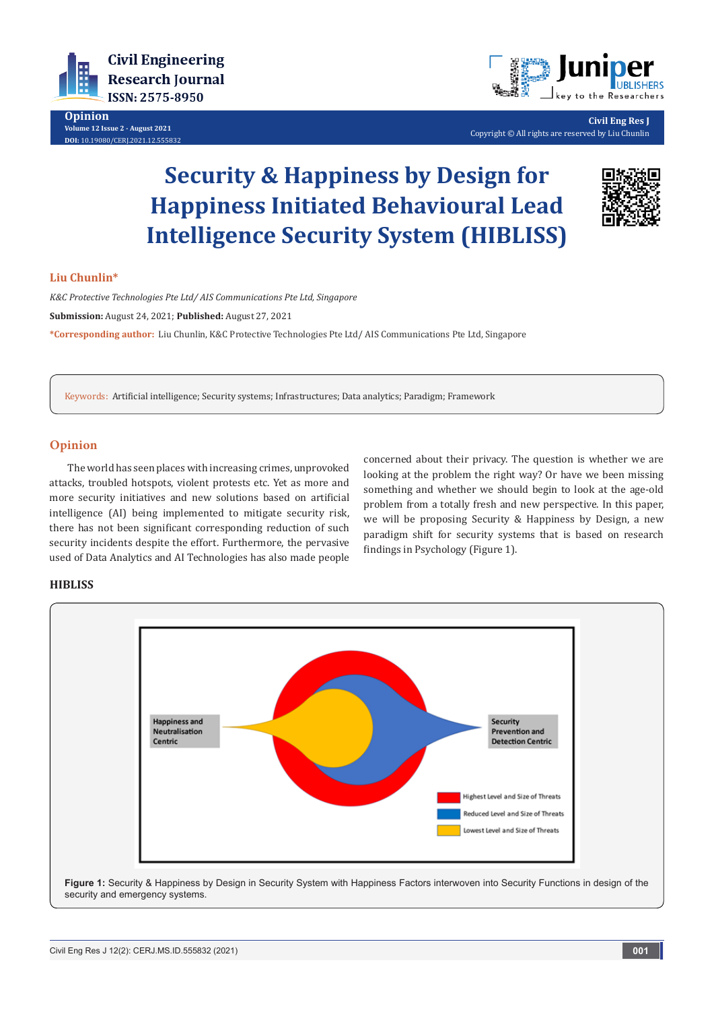

**Opinion Volume 12 Issue 2 - August 2021 DOI:** [10.19080/CERJ.2021.12.55583](http://dx.doi.org/10.19080/CERJ.2021.12.555832)



**Civil Eng Res J** Copyright © All rights are reserved by Liu Chunlin

# **Security & Happiness by Design for Happiness Initiated Behavioural Lead Intelligence Security System (HIBLISS)**



## **Liu Chunlin\***

*K&C Protective Technologies Pte Ltd/ AIS Communications Pte Ltd, Singapore* **Submission:** August 24, 2021; **Published:** August 27, 2021 **\*Corresponding author:** Liu Chunlin, K&C Protective Technologies Pte Ltd/ AIS Communications Pte Ltd, Singapore

Keywords: Artificial intelligence; Security systems; Infrastructures; Data analytics; Paradigm; Framework

## **Opinion**

The world has seen places with increasing crimes, unprovoked attacks, troubled hotspots, violent protests etc. Yet as more and more security initiatives and new solutions based on artificial intelligence (AI) being implemented to mitigate security risk, there has not been significant corresponding reduction of such security incidents despite the effort. Furthermore, the pervasive used of Data Analytics and AI Technologies has also made people

concerned about their privacy. The question is whether we are looking at the problem the right way? Or have we been missing something and whether we should begin to look at the age-old problem from a totally fresh and new perspective. In this paper, we will be proposing Security & Happiness by Design, a new paradigm shift for security systems that is based on research findings in Psychology (Figure 1).

#### **HIBLISS**



**Figure 1:** Security & Happiness by Design in Security System with Happiness Factors interwoven into Security Functions in design of the security and emergency systems.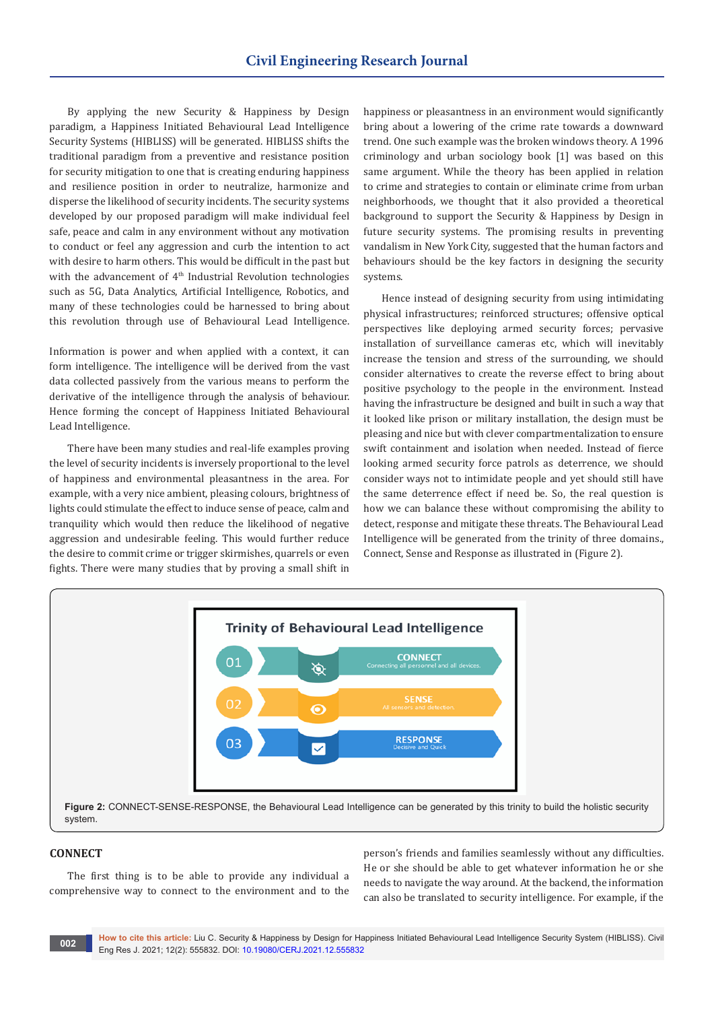By applying the new Security & Happiness by Design paradigm, a Happiness Initiated Behavioural Lead Intelligence Security Systems (HIBLISS) will be generated. HIBLISS shifts the traditional paradigm from a preventive and resistance position for security mitigation to one that is creating enduring happiness and resilience position in order to neutralize, harmonize and disperse the likelihood of security incidents. The security systems developed by our proposed paradigm will make individual feel safe, peace and calm in any environment without any motivation to conduct or feel any aggression and curb the intention to act with desire to harm others. This would be difficult in the past but with the advancement of 4<sup>th</sup> Industrial Revolution technologies such as 5G, Data Analytics, Artificial Intelligence, Robotics, and many of these technologies could be harnessed to bring about this revolution through use of Behavioural Lead Intelligence.

Information is power and when applied with a context, it can form intelligence. The intelligence will be derived from the vast data collected passively from the various means to perform the derivative of the intelligence through the analysis of behaviour. Hence forming the concept of Happiness Initiated Behavioural Lead Intelligence.

There have been many studies and real-life examples proving the level of security incidents is inversely proportional to the level of happiness and environmental pleasantness in the area. For example, with a very nice ambient, pleasing colours, brightness of lights could stimulate the effect to induce sense of peace, calm and tranquility which would then reduce the likelihood of negative aggression and undesirable feeling. This would further reduce the desire to commit crime or trigger skirmishes, quarrels or even fights. There were many studies that by proving a small shift in

happiness or pleasantness in an environment would significantly bring about a lowering of the crime rate towards a downward trend. One such example was the broken windows theory. A 1996 criminology and urban sociology book [1] was based on this same argument. While the theory has been applied in relation to crime and strategies to contain or eliminate crime from urban neighborhoods, we thought that it also provided a theoretical background to support the Security & Happiness by Design in future security systems. The promising results in preventing vandalism in New York City, suggested that the human factors and behaviours should be the key factors in designing the security systems.

Hence instead of designing security from using intimidating physical infrastructures; reinforced structures; offensive optical perspectives like deploying armed security forces; pervasive installation of surveillance cameras etc, which will inevitably increase the tension and stress of the surrounding, we should consider alternatives to create the reverse effect to bring about positive psychology to the people in the environment. Instead having the infrastructure be designed and built in such a way that it looked like prison or military installation, the design must be pleasing and nice but with clever compartmentalization to ensure swift containment and isolation when needed. Instead of fierce looking armed security force patrols as deterrence, we should consider ways not to intimidate people and yet should still have the same deterrence effect if need be. So, the real question is how we can balance these without compromising the ability to detect, response and mitigate these threats. The Behavioural Lead Intelligence will be generated from the trinity of three domains., Connect, Sense and Response as illustrated in (Figure 2).



#### **CONNECT**

The first thing is to be able to provide any individual a comprehensive way to connect to the environment and to the person's friends and families seamlessly without any difficulties. He or she should be able to get whatever information he or she needs to navigate the way around. At the backend, the information can also be translated to security intelligence. For example, if the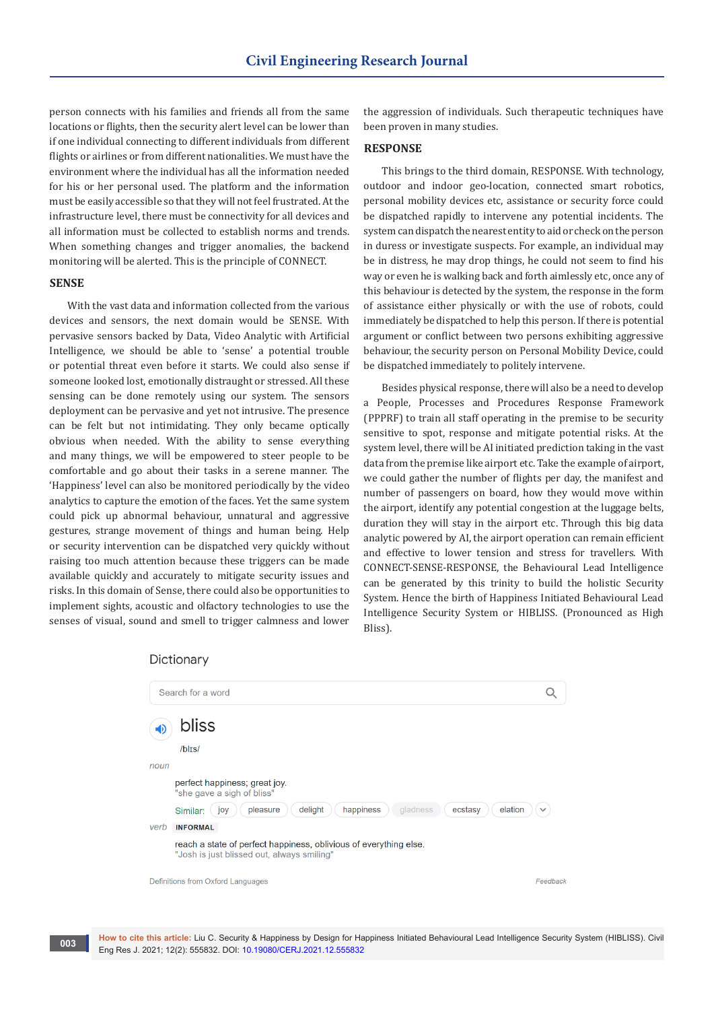person connects with his families and friends all from the same locations or flights, then the security alert level can be lower than if one individual connecting to different individuals from different flights or airlines or from different nationalities. We must have the environment where the individual has all the information needed for his or her personal used. The platform and the information must be easily accessible so that they will not feel frustrated. At the infrastructure level, there must be connectivity for all devices and all information must be collected to establish norms and trends. When something changes and trigger anomalies, the backend monitoring will be alerted. This is the principle of CONNECT.

## **SENSE**

With the vast data and information collected from the various devices and sensors, the next domain would be SENSE. With pervasive sensors backed by Data, Video Analytic with Artificial Intelligence, we should be able to 'sense' a potential trouble or potential threat even before it starts. We could also sense if someone looked lost, emotionally distraught or stressed. All these sensing can be done remotely using our system. The sensors deployment can be pervasive and yet not intrusive. The presence can be felt but not intimidating. They only became optically obvious when needed. With the ability to sense everything and many things, we will be empowered to steer people to be comfortable and go about their tasks in a serene manner. The 'Happiness' level can also be monitored periodically by the video analytics to capture the emotion of the faces. Yet the same system could pick up abnormal behaviour, unnatural and aggressive gestures, strange movement of things and human being. Help or security intervention can be dispatched very quickly without raising too much attention because these triggers can be made available quickly and accurately to mitigate security issues and risks. In this domain of Sense, there could also be opportunities to implement sights, acoustic and olfactory technologies to use the senses of visual, sound and smell to trigger calmness and lower

the aggression of individuals. Such therapeutic techniques have been proven in many studies.

#### **RESPONSE**

This brings to the third domain, RESPONSE. With technology, outdoor and indoor geo-location, connected smart robotics, personal mobility devices etc, assistance or security force could be dispatched rapidly to intervene any potential incidents. The system can dispatch the nearest entity to aid or check on the person in duress or investigate suspects. For example, an individual may be in distress, he may drop things, he could not seem to find his way or even he is walking back and forth aimlessly etc, once any of this behaviour is detected by the system, the response in the form of assistance either physically or with the use of robots, could immediately be dispatched to help this person. If there is potential argument or conflict between two persons exhibiting aggressive behaviour, the security person on Personal Mobility Device, could be dispatched immediately to politely intervene.

Besides physical response, there will also be a need to develop a People, Processes and Procedures Response Framework (PPPRF) to train all staff operating in the premise to be security sensitive to spot, response and mitigate potential risks. At the system level, there will be AI initiated prediction taking in the vast data from the premise like airport etc. Take the example of airport, we could gather the number of flights per day, the manifest and number of passengers on board, how they would move within the airport, identify any potential congestion at the luggage belts, duration they will stay in the airport etc. Through this big data analytic powered by AI, the airport operation can remain efficient and effective to lower tension and stress for travellers. With CONNECT-SENSE-RESPONSE, the Behavioural Lead Intelligence can be generated by this trinity to build the holistic Security System. Hence the birth of Happiness Initiated Behavioural Lead Intelligence Security System or HIBLISS. (Pronounced as High Bliss).

## Dictionary

|                                   | Search for a word                                                                                               |              |
|-----------------------------------|-----------------------------------------------------------------------------------------------------------------|--------------|
| =D                                | bliss                                                                                                           |              |
|                                   | $/b$ <sub>Is</sub> $/$                                                                                          |              |
| noun                              |                                                                                                                 |              |
|                                   | perfect happiness; great joy.<br>"she gave a sigh of bliss"                                                     |              |
|                                   | delight<br>happiness<br>pleasure<br>gladness<br>ecstasy<br>elation<br>Similar:<br>joy                           | $\checkmark$ |
| verb                              | <b>INFORMAL</b>                                                                                                 |              |
|                                   | reach a state of perfect happiness, oblivious of everything else.<br>"Josh is just blissed out, always smiling" |              |
| Definitions from Oxford Languages |                                                                                                                 | Feedback     |